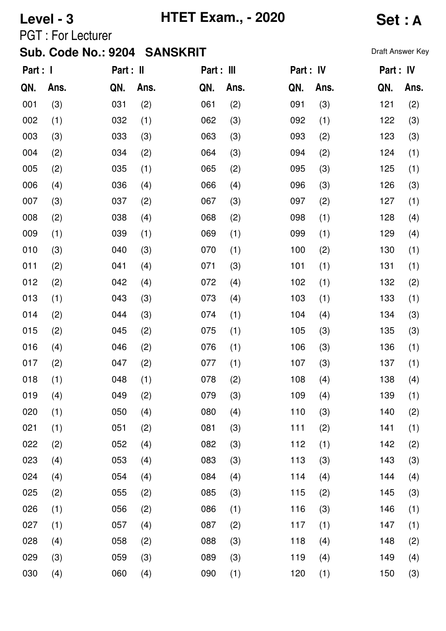# **Level - 3 HTET Exam., - 2020 Set : A**

PGT : For Lecturer

| Part : I |      | Part : II |      | Part : III |      | Part : IV |      | Part : IV |      |
|----------|------|-----------|------|------------|------|-----------|------|-----------|------|
| QN.      | Ans. | QN.       | Ans. | QN.        | Ans. | QN.       | Ans. | QN.       | Ans. |
| 001      | (3)  | 031       | (2)  | 061        | (2)  | 091       | (3)  | 121       | (2)  |
| 002      | (1)  | 032       | (1)  | 062        | (3)  | 092       | (1)  | 122       | (3)  |
| 003      | (3)  | 033       | (3)  | 063        | (3)  | 093       | (2)  | 123       | (3)  |
| 004      | (2)  | 034       | (2)  | 064        | (3)  | 094       | (2)  | 124       | (1)  |
| 005      | (2)  | 035       | (1)  | 065        | (2)  | 095       | (3)  | 125       | (1)  |
| 006      | (4)  | 036       | (4)  | 066        | (4)  | 096       | (3)  | 126       | (3)  |
| 007      | (3)  | 037       | (2)  | 067        | (3)  | 097       | (2)  | 127       | (1)  |
| 008      | (2)  | 038       | (4)  | 068        | (2)  | 098       | (1)  | 128       | (4)  |
| 009      | (1)  | 039       | (1)  | 069        | (1)  | 099       | (1)  | 129       | (4)  |
| 010      | (3)  | 040       | (3)  | 070        | (1)  | 100       | (2)  | 130       | (1)  |
| 011      | (2)  | 041       | (4)  | 071        | (3)  | 101       | (1)  | 131       | (1)  |
| 012      | (2)  | 042       | (4)  | 072        | (4)  | 102       | (1)  | 132       | (2)  |
| 013      | (1)  | 043       | (3)  | 073        | (4)  | 103       | (1)  | 133       | (1)  |
| 014      | (2)  | 044       | (3)  | 074        | (1)  | 104       | (4)  | 134       | (3)  |
| 015      | (2)  | 045       | (2)  | 075        | (1)  | 105       | (3)  | 135       | (3)  |
| 016      | (4)  | 046       | (2)  | 076        | (1)  | 106       | (3)  | 136       | (1)  |
| 017      | (2)  | 047       | (2)  | 077        | (1)  | 107       | (3)  | 137       | (1)  |
| 018      | (1)  | 048       | (1)  | 078        | (2)  | 108       | (4)  | 138       | (4)  |
| 019      | (4)  | 049       | (2)  | 079        | (3)  | 109       | (4)  | 139       | (1)  |
| 020      | (1)  | 050       | (4)  | 080        | (4)  | 110       | (3)  | 140       | (2)  |
| 021      | (1)  | 051       | (2)  | 081        | (3)  | 111       | (2)  | 141       | (1)  |
| 022      | (2)  | 052       | (4)  | 082        | (3)  | 112       | (1)  | 142       | (2)  |
| 023      | (4)  | 053       | (4)  | 083        | (3)  | 113       | (3)  | 143       | (3)  |
| 024      | (4)  | 054       | (4)  | 084        | (4)  | 114       | (4)  | 144       | (4)  |
| 025      | (2)  | 055       | (2)  | 085        | (3)  | 115       | (2)  | 145       | (3)  |
| 026      | (1)  | 056       | (2)  | 086        | (1)  | 116       | (3)  | 146       | (1)  |
| 027      | (1)  | 057       | (4)  | 087        | (2)  | 117       | (1)  | 147       | (1)  |
| 028      | (4)  | 058       | (2)  | 088        | (3)  | 118       | (4)  | 148       | (2)  |
| 029      | (3)  | 059       | (3)  | 089        | (3)  | 119       | (4)  | 149       | (4)  |
| 030      | (4)  | 060       | (4)  | 090        | (1)  | 120       | (1)  | 150       | (3)  |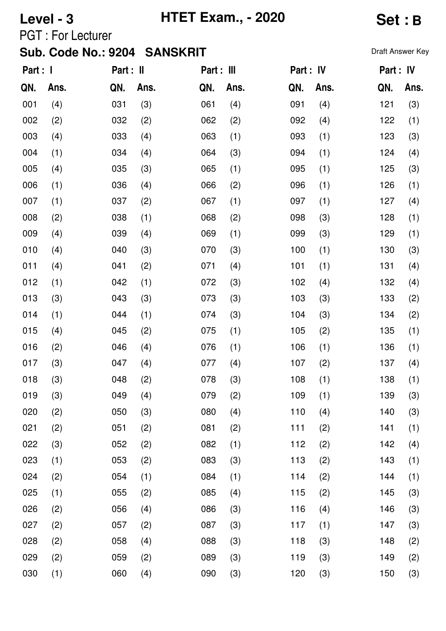**Level - 3 HTET Exam., - 2020 Set : B**

PGT : For Lecturer

| Part : I |      | Part : II |      | Part : III |      | Part : IV |      | Part : IV |      |
|----------|------|-----------|------|------------|------|-----------|------|-----------|------|
| QN.      | Ans. | QN.       | Ans. | QN.        | Ans. | QN.       | Ans. | QN.       | Ans. |
| 001      | (4)  | 031       | (3)  | 061        | (4)  | 091       | (4)  | 121       | (3)  |
| 002      | (2)  | 032       | (2)  | 062        | (2)  | 092       | (4)  | 122       | (1)  |
| 003      | (4)  | 033       | (4)  | 063        | (1)  | 093       | (1)  | 123       | (3)  |
| 004      | (1)  | 034       | (4)  | 064        | (3)  | 094       | (1)  | 124       | (4)  |
| 005      | (4)  | 035       | (3)  | 065        | (1)  | 095       | (1)  | 125       | (3)  |
| 006      | (1)  | 036       | (4)  | 066        | (2)  | 096       | (1)  | 126       | (1)  |
| 007      | (1)  | 037       | (2)  | 067        | (1)  | 097       | (1)  | 127       | (4)  |
| 008      | (2)  | 038       | (1)  | 068        | (2)  | 098       | (3)  | 128       | (1)  |
| 009      | (4)  | 039       | (4)  | 069        | (1)  | 099       | (3)  | 129       | (1)  |
| 010      | (4)  | 040       | (3)  | 070        | (3)  | 100       | (1)  | 130       | (3)  |
| 011      | (4)  | 041       | (2)  | 071        | (4)  | 101       | (1)  | 131       | (4)  |
| 012      | (1)  | 042       | (1)  | 072        | (3)  | 102       | (4)  | 132       | (4)  |
| 013      | (3)  | 043       | (3)  | 073        | (3)  | 103       | (3)  | 133       | (2)  |
| 014      | (1)  | 044       | (1)  | 074        | (3)  | 104       | (3)  | 134       | (2)  |
| 015      | (4)  | 045       | (2)  | 075        | (1)  | 105       | (2)  | 135       | (1)  |
| 016      | (2)  | 046       | (4)  | 076        | (1)  | 106       | (1)  | 136       | (1)  |
| 017      | (3)  | 047       | (4)  | 077        | (4)  | 107       | (2)  | 137       | (4)  |
| 018      | (3)  | 048       | (2)  | 078        | (3)  | 108       | (1)  | 138       | (1)  |
| 019      | (3)  | 049       | (4)  | 079        | (2)  | 109       | (1)  | 139       | (3)  |
| 020      | (2)  | 050       | (3)  | 080        | (4)  | 110       | (4)  | 140       | (3)  |
| 021      | (2)  | 051       | (2)  | 081        | (2)  | 111       | (2)  | 141       | (1)  |
| 022      | (3)  | 052       | (2)  | 082        | (1)  | 112       | (2)  | 142       | (4)  |
| 023      | (1)  | 053       | (2)  | 083        | (3)  | 113       | (2)  | 143       | (1)  |
| 024      | (2)  | 054       | (1)  | 084        | (1)  | 114       | (2)  | 144       | (1)  |
| 025      | (1)  | 055       | (2)  | 085        | (4)  | 115       | (2)  | 145       | (3)  |
| 026      | (2)  | 056       | (4)  | 086        | (3)  | 116       | (4)  | 146       | (3)  |
| 027      | (2)  | 057       | (2)  | 087        | (3)  | 117       | (1)  | 147       | (3)  |
| 028      | (2)  | 058       | (4)  | 088        | (3)  | 118       | (3)  | 148       | (2)  |
| 029      | (2)  | 059       | (2)  | 089        | (3)  | 119       | (3)  | 149       | (2)  |
| 030      | (1)  | 060       | (4)  | 090        | (3)  | 120       | (3)  | 150       | (3)  |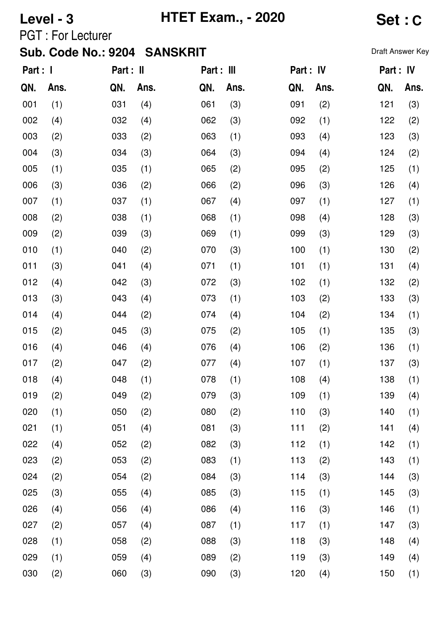# **Level - 3 HTET Exam., - 2020 Set : C**

PGT : For Lecturer

| Part : I |      | Part : II |      | Part : III |      | Part : IV |      | Part : IV |      |
|----------|------|-----------|------|------------|------|-----------|------|-----------|------|
| QN.      | Ans. | QN.       | Ans. | QN.        | Ans. | QN.       | Ans. | QN.       | Ans. |
| 001      | (1)  | 031       | (4)  | 061        | (3)  | 091       | (2)  | 121       | (3)  |
| 002      | (4)  | 032       | (4)  | 062        | (3)  | 092       | (1)  | 122       | (2)  |
| 003      | (2)  | 033       | (2)  | 063        | (1)  | 093       | (4)  | 123       | (3)  |
| 004      | (3)  | 034       | (3)  | 064        | (3)  | 094       | (4)  | 124       | (2)  |
| 005      | (1)  | 035       | (1)  | 065        | (2)  | 095       | (2)  | 125       | (1)  |
| 006      | (3)  | 036       | (2)  | 066        | (2)  | 096       | (3)  | 126       | (4)  |
| 007      | (1)  | 037       | (1)  | 067        | (4)  | 097       | (1)  | 127       | (1)  |
| 008      | (2)  | 038       | (1)  | 068        | (1)  | 098       | (4)  | 128       | (3)  |
| 009      | (2)  | 039       | (3)  | 069        | (1)  | 099       | (3)  | 129       | (3)  |
| 010      | (1)  | 040       | (2)  | 070        | (3)  | 100       | (1)  | 130       | (2)  |
| 011      | (3)  | 041       | (4)  | 071        | (1)  | 101       | (1)  | 131       | (4)  |
| 012      | (4)  | 042       | (3)  | 072        | (3)  | 102       | (1)  | 132       | (2)  |
| 013      | (3)  | 043       | (4)  | 073        | (1)  | 103       | (2)  | 133       | (3)  |
| 014      | (4)  | 044       | (2)  | 074        | (4)  | 104       | (2)  | 134       | (1)  |
| 015      | (2)  | 045       | (3)  | 075        | (2)  | 105       | (1)  | 135       | (3)  |
| 016      | (4)  | 046       | (4)  | 076        | (4)  | 106       | (2)  | 136       | (1)  |
| 017      | (2)  | 047       | (2)  | 077        | (4)  | 107       | (1)  | 137       | (3)  |
| 018      | (4)  | 048       | (1)  | 078        | (1)  | 108       | (4)  | 138       | (1)  |
| 019      | (2)  | 049       | (2)  | 079        | (3)  | 109       | (1)  | 139       | (4)  |
| 020      | (1)  | 050       | (2)  | 080        | (2)  | 110       | (3)  | 140       | (1)  |
| 021      | (1)  | 051       | (4)  | 081        | (3)  | 111       | (2)  | 141       | (4)  |
| 022      | (4)  | 052       | (2)  | 082        | (3)  | 112       | (1)  | 142       | (1)  |
| 023      | (2)  | 053       | (2)  | 083        | (1)  | 113       | (2)  | 143       | (1)  |
| 024      | (2)  | 054       | (2)  | 084        | (3)  | 114       | (3)  | 144       | (3)  |
| 025      | (3)  | 055       | (4)  | 085        | (3)  | 115       | (1)  | 145       | (3)  |
| 026      | (4)  | 056       | (4)  | 086        | (4)  | 116       | (3)  | 146       | (1)  |
| 027      | (2)  | 057       | (4)  | 087        | (1)  | 117       | (1)  | 147       | (3)  |
| 028      | (1)  | 058       | (2)  | 088        | (3)  | 118       | (3)  | 148       | (4)  |
| 029      | (1)  | 059       | (4)  | 089        | (2)  | 119       | (3)  | 149       | (4)  |
| 030      | (2)  | 060       | (3)  | 090        | (3)  | 120       | (4)  | 150       | (1)  |